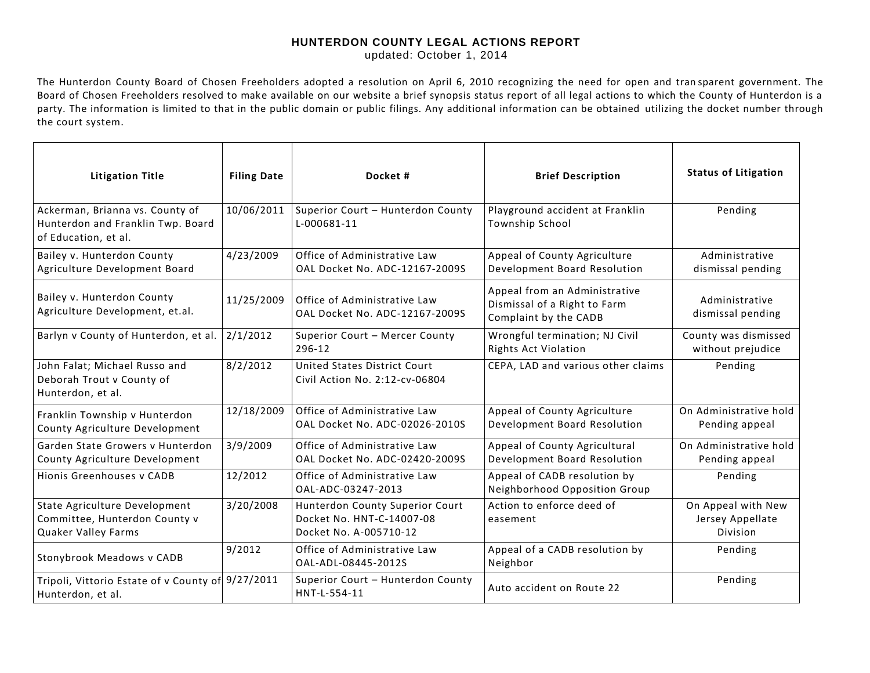## **HUNTERDON COUNTY LEGAL ACTIONS REPORT**

updated: October 1, 2014

The Hunterdon County Board of Chosen Freeholders adopted a resolution on April 6, 2010 recognizing the need for open and tran sparent government. The Board of Chosen Freeholders resolved to make available on our website a brief synopsis status report of all legal actions to which the County of Hunterdon is a party. The information is limited to that in the public domain or public filings. Any additional information can be obtained utilizing the docket number through the court system.

| <b>Litigation Title</b>                                                                      | <b>Filing Date</b> | Docket#                                                                                | <b>Brief Description</b>                                                               | <b>Status of Litigation</b>                               |
|----------------------------------------------------------------------------------------------|--------------------|----------------------------------------------------------------------------------------|----------------------------------------------------------------------------------------|-----------------------------------------------------------|
| Ackerman, Brianna vs. County of<br>Hunterdon and Franklin Twp. Board<br>of Education, et al. | 10/06/2011         | Superior Court - Hunterdon County<br>L-000681-11                                       | Playground accident at Franklin<br>Township School                                     | Pending                                                   |
| Bailey v. Hunterdon County<br>Agriculture Development Board                                  | 4/23/2009          | Office of Administrative Law<br>OAL Docket No. ADC-12167-2009S                         | Appeal of County Agriculture<br>Development Board Resolution                           | Administrative<br>dismissal pending                       |
| Bailey v. Hunterdon County<br>Agriculture Development, et.al.                                | 11/25/2009         | Office of Administrative Law<br>OAL Docket No. ADC-12167-2009S                         | Appeal from an Administrative<br>Dismissal of a Right to Farm<br>Complaint by the CADB | Administrative<br>dismissal pending                       |
| Barlyn v County of Hunterdon, et al.                                                         | 2/1/2012           | Superior Court - Mercer County<br>296-12                                               | Wrongful termination; NJ Civil<br><b>Rights Act Violation</b>                          | County was dismissed<br>without prejudice                 |
| John Falat; Michael Russo and<br>Deborah Trout v County of<br>Hunterdon, et al.              | 8/2/2012           | United States District Court<br>Civil Action No. 2:12-cv-06804                         | CEPA, LAD and various other claims                                                     | Pending                                                   |
| Franklin Township v Hunterdon<br>County Agriculture Development                              | 12/18/2009         | Office of Administrative Law<br>OAL Docket No. ADC-02026-2010S                         | Appeal of County Agriculture<br>Development Board Resolution                           | On Administrative hold<br>Pending appeal                  |
| Garden State Growers v Hunterdon<br>County Agriculture Development                           | 3/9/2009           | Office of Administrative Law<br>OAL Docket No. ADC-02420-2009S                         | Appeal of County Agricultural<br>Development Board Resolution                          | On Administrative hold<br>Pending appeal                  |
| Hionis Greenhouses y CADB                                                                    | 12/2012            | Office of Administrative Law<br>OAL-ADC-03247-2013                                     | Appeal of CADB resolution by<br>Neighborhood Opposition Group                          | Pending                                                   |
| State Agriculture Development<br>Committee, Hunterdon County v<br>Quaker Valley Farms        | 3/20/2008          | Hunterdon County Superior Court<br>Docket No. HNT-C-14007-08<br>Docket No. A-005710-12 | Action to enforce deed of<br>easement                                                  | On Appeal with New<br>Jersey Appellate<br><b>Division</b> |
| Stonybrook Meadows v CADB                                                                    | 9/2012             | Office of Administrative Law<br>OAL-ADL-08445-2012S                                    | Appeal of a CADB resolution by<br>Neighbor                                             | Pending                                                   |
| Tripoli, Vittorio Estate of v County of 9/27/2011<br>Hunterdon, et al.                       |                    | Superior Court - Hunterdon County<br>HNT-L-554-11                                      | Auto accident on Route 22                                                              | Pending                                                   |